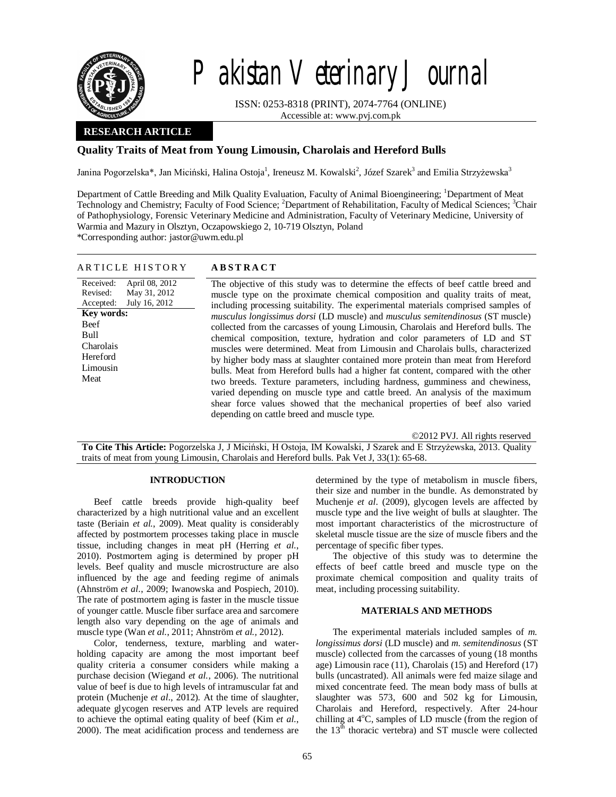

# Pakistan Veterinary Journal

ISSN: 0253-8318 (PRINT), 2074-7764 (ONLINE) Accessible at: www.pvj.com.pk

## **RESEARCH ARTICLE**

# **Quality Traits of Meat from Young Limousin, Charolais and Hereford Bulls**

Janina Pogorzelska\*, Jan Miciński, Halina Ostoja<sup>1</sup>, Ireneusz M. Kowalski<sup>2</sup>, Józef Szarek<sup>3</sup> and Emilia Strzyżewska<sup>3</sup>

Department of Cattle Breeding and Milk Quality Evaluation, Faculty of Animal Bioengineering; <sup>1</sup>Department of Meat Technology and Chemistry; Faculty of Food Science; <sup>2</sup>Department of Rehabilitation, Faculty of Medical Sciences; <sup>3</sup>Chair of Pathophysiology, Forensic Veterinary Medicine and Administration, Faculty of Veterinary Medicine, University of Warmia and Mazury in Olsztyn, Oczapowskiego 2, 10-719 Olsztyn, Poland

\*Corresponding author: jastor@uwm.edu.pl

| <b>ABSTRACT</b><br>ARTICLE HISTORY                                                                                                                                                                                                                                                                                                                                                                                                                                                                                                                                                                                                                                                                                                                                                                                                                                                                                                                                                                                                                                                                                                                                                                                                                            |  |
|---------------------------------------------------------------------------------------------------------------------------------------------------------------------------------------------------------------------------------------------------------------------------------------------------------------------------------------------------------------------------------------------------------------------------------------------------------------------------------------------------------------------------------------------------------------------------------------------------------------------------------------------------------------------------------------------------------------------------------------------------------------------------------------------------------------------------------------------------------------------------------------------------------------------------------------------------------------------------------------------------------------------------------------------------------------------------------------------------------------------------------------------------------------------------------------------------------------------------------------------------------------|--|
| April 08, 2012<br>Received:<br>The objective of this study was to determine the effects of beef cattle breed and<br>Revised:<br>May 31, 2012<br>muscle type on the proximate chemical composition and quality traits of meat,<br>July 16, 2012<br>Accepted:<br>including processing suitability. The experimental materials comprised samples of<br><b>Key words:</b><br><i>musculus longissimus dorsi</i> (LD muscle) and <i>musculus semitendinosus</i> (ST muscle)<br>Beef<br>collected from the carcasses of young Limousin, Charolais and Hereford bulls. The<br>Bull<br>chemical composition, texture, hydration and color parameters of LD and ST<br>Charolais<br>muscles were determined. Meat from Limousin and Charolais bulls, characterized<br>Hereford<br>by higher body mass at slaughter contained more protein than meat from Hereford<br>Limousin<br>bulls. Meat from Hereford bulls had a higher fat content, compared with the other<br>Meat<br>two breeds. Texture parameters, including hardness, gumminess and chewiness,<br>varied depending on muscle type and cattle breed. An analysis of the maximum<br>shear force values showed that the mechanical properties of beef also varied<br>depending on cattle breed and muscle type. |  |

©2012 PVJ. All rights reserved

**To Cite This Article:** Pogorzelska J, J Miciński, H Ostoja, IM Kowalski, J Szarek and E Strzyżewska, 2013. Quality traits of meat from young Limousin, Charolais and Hereford bulls. Pak Vet J, 33(1): 65-68.

## **INTRODUCTION**

Beef cattle breeds provide high-quality beef characterized by a high nutritional value and an excellent taste (Beriain *et al.*, 2009). Meat quality is considerably affected by postmortem processes taking place in muscle tissue, including changes in meat pH (Herring *et al.*, 2010). Postmortem aging is determined by proper pH levels. Beef quality and muscle microstructure are also influenced by the age and feeding regime of animals (Ahnström *et al*., 2009; Iwanowska and Pospiech, 2010). The rate of postmortem aging is faster in the muscle tissue of younger cattle. Muscle fiber surface area and sarcomere length also vary depending on the age of animals and muscle type (Wan *et al.*, 2011; Ahnström *et al.,* 2012).

Color, tenderness, texture, marbling and waterholding capacity are among the most important beef quality criteria a consumer considers while making a purchase decision (Wiegand *et al.*, 2006). The nutritional value of beef is due to high levels of intramuscular fat and protein (Muchenje *et al*., 2012). At the time of slaughter, adequate glycogen reserves and ATP levels are required to achieve the optimal eating quality of beef (Kim *et al.*, 2000). The meat acidification process and tenderness are

determined by the type of metabolism in muscle fibers, their size and number in the bundle. As demonstrated by Muchenje *et al*. (2009), glycogen levels are affected by muscle type and the live weight of bulls at slaughter. The most important characteristics of the microstructure of skeletal muscle tissue are the size of muscle fibers and the percentage of specific fiber types.

The objective of this study was to determine the effects of beef cattle breed and muscle type on the proximate chemical composition and quality traits of meat, including processing suitability.

#### **MATERIALS AND METHODS**

The experimental materials included samples of *m. longissimus dorsi* (LD muscle) and *m. semitendinosus* (ST muscle) collected from the carcasses of young (18 months age) Limousin race (11), Charolais (15) and Hereford (17) bulls (uncastrated). All animals were fed maize silage and mixed concentrate feed. The mean body mass of bulls at slaughter was 573, 600 and 502 kg for Limousin, Charolais and Hereford, respectively. After 24-hour chilling at  $4^{\circ}$ C, samples of LD muscle (from the region of the  $13<sup>th</sup>$  thoracic vertebra) and ST muscle were collected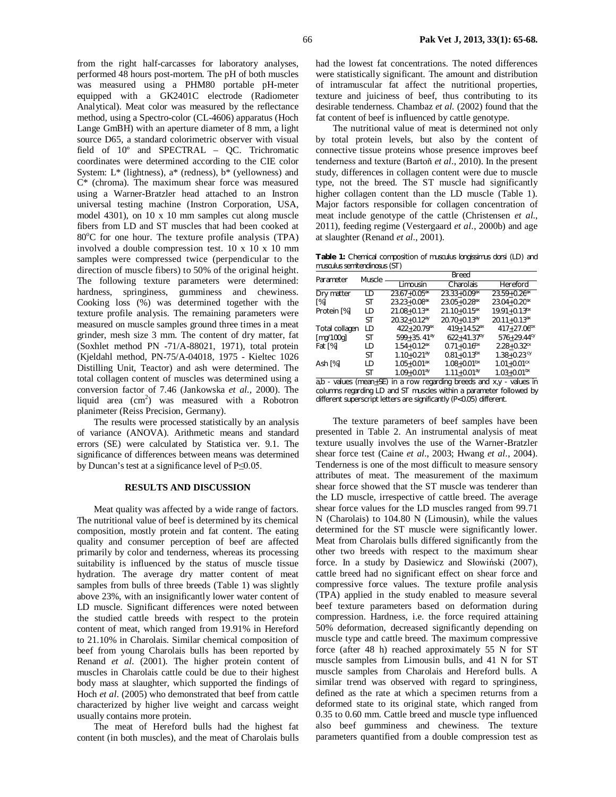from the right half-carcasses for laboratory analyses, performed 48 hours post-mortem. The pH of both muscles was measured using a PHM80 portable pH-meter equipped with a GK2401C electrode (Radiometer Analytical). Meat color was measured by the reflectance method, using a Spectro-color (CL-4606) apparatus (Hoch Lange GmBH) with an aperture diameter of 8 mm, a light source D65, a standard colorimetric observer with visual field of 10º and SPECTRAL – QC. Trichromatic coordinates were determined according to the CIE color System:  $L^*$  (lightness),  $a^*$  (redness),  $b^*$  (yellowness) and C\* (chroma). The maximum shear force was measured using a Warner-Bratzler head attached to an Instron universal testing machine (Instron Corporation, USA, model 4301), on 10 x 10 mm samples cut along muscle fibers from LD and ST muscles that had been cooked at  $80^{\circ}$ C for one hour. The texture profile analysis (TPA) involved a double compression test. 10 x 10 x 10 mm samples were compressed twice (perpendicular to the direction of muscle fibers) to 50% of the original height. The following texture parameters were determined: hardness, springiness, gumminess and chewiness. Cooking loss (%) was determined together with the texture profile analysis. The remaining parameters were measured on muscle samples ground three times in a meat grinder, mesh size 3 mm. The content of dry matter, fat (Soxhlet method PN -71/A-88021, 1971), total protein (Kjeldahl method, PN-75/A-04018, 1975 - Kieltec 1026 Distilling Unit, Teactor) and ash were determined. The total collagen content of muscles was determined using a conversion factor of 7.46 (Jankowska *et al.,* 2000). The liquid area  $(cm<sup>2</sup>)$  was measured with a Robotron planimeter (Reiss Precision, Germany).

The results were processed statistically by an analysis of variance (ANOVA). Arithmetic means and standard errors (SE) were calculated by Statistica ver. 9.1. The significance of differences between means was determined by Duncan's test at a significance level of P≤0.05.

### **RESULTS AND DISCUSSION**

Meat quality was affected by a wide range of factors. The nutritional value of beef is determined by its chemical composition, mostly protein and fat content. The eating quality and consumer perception of beef are affected primarily by color and tenderness, whereas its processing suitability is influenced by the status of muscle tissue hydration. The average dry matter content of meat samples from bulls of three breeds (Table 1) was slightly above 23%, with an insignificantly lower water content of LD muscle. Significant differences were noted between the studied cattle breeds with respect to the protein content of meat, which ranged from 19.91% in Hereford to 21.10% in Charolais. Similar chemical composition of beef from young Charolais bulls has been reported by Renand *et al*. (2001). The higher protein content of muscles in Charolais cattle could be due to their highest body mass at slaughter, which supported the findings of Hoch *et al*. (2005) who demonstrated that beef from cattle characterized by higher live weight and carcass weight usually contains more protein.

The meat of Hereford bulls had the highest fat content (in both muscles), and the meat of Charolais bulls had the lowest fat concentrations. The noted differences were statistically significant. The amount and distribution of intramuscular fat affect the nutritional properties, texture and juiciness of beef, thus contributing to its desirable tenderness. Chambaz *et al.* (2002) found that the fat content of beef is influenced by cattle genotype.

The nutritional value of meat is determined not only by total protein levels, but also by the content of connective tissue proteins whose presence improves beef tenderness and texture (Bartoň *et al*., 2010). In the present study, differences in collagen content were due to muscle type, not the breed. The ST muscle had significantly higher collagen content than the LD muscle (Table 1). Major factors responsible for collagen concentration of meat include genotype of the cattle (Christensen *et al*., 2011), feeding regime (Vestergaard *et al*., 2000b) and age at slaughter (Renand *et al*., 2001).

**Table 1:** Chemical composition of *musculus longissimus dorsi* (LD) and *musculus semitendinosus* (ST)

| Parameter      | Muscle | Breed                        |                              |                              |
|----------------|--------|------------------------------|------------------------------|------------------------------|
|                |        | Limousin                     | Charolais                    | Hereford                     |
| Dry matter     | LD     | $23.67 + 0.05^{ax}$          | $23.33 + 0.09$ <sup>ax</sup> | $23.59 + 0.26$ <sup>ax</sup> |
| [%]            | ST     | $23.23 + 0.08$ <sup>ax</sup> | $23.05 + 0.28$ <sup>ax</sup> | $23.04 + 0.20$ <sup>ax</sup> |
| Protein [%]    | LD     | $21.08 + 0.13$ <sup>ax</sup> | $21.10 + 0.15$ <sup>ax</sup> | $19.91 + 0.13bx$             |
|                | ST     | $20.32 + 0.12^{ay}$          | $20.70 + 0.13^{ay}$          | $20.11 + 0.13$ <sup>ax</sup> |
| Total collagen | LD     | $422 + 20.79$ <sup>ax</sup>  | 419+14.52 <sup>ax</sup>      | $417+27.06^{bx}$             |
| [mq/100q]      | ST     | $599 + 35.41^{ay}$           | $622 + 41.37^{by}$           | $576 + 29.44$ <sup>cy</sup>  |
| Fat [%]        | LD     | $1.54 + 0.12$ <sup>ax</sup>  | $0.71 + 0.16^{bx}$           | $2.28 + 0.32$ <sup>cx</sup>  |
|                | ST     | $1.10 + 0.21^{ay}$           | $0.81 + 0.13$ <sup>bx</sup>  | $1.38 + 0.23$ <sup>cy</sup>  |
| Ash [%]        | LD     | $1.05 + 0.01$ <sup>ax</sup>  | $1.08 + 0.01bx$              | $1.01 + 0.01$ <sup>cx</sup>  |
|                | ST     | $1.09 + 0.01^{ay}$           | $1.11 + 0.01ay$              | $1.03 + 0.01^{bx}$           |

 $a,b$  - values (mean $\pm$ SE) in a row regarding breeds and  $x,y$  - values in columns regarding LD and ST muscles within a parameter followed by different superscript letters are significantly (P<0.05) different.

The texture parameters of beef samples have been presented in Table 2. An instrumental analysis of meat texture usually involves the use of the Warner-Bratzler shear force test (Caine *et al*., 2003; Hwang *et al*., 2004). Tenderness is one of the most difficult to measure sensory attributes of meat. The measurement of the maximum shear force showed that the ST muscle was tenderer than the LD muscle, irrespective of cattle breed. The average shear force values for the LD muscles ranged from 99.71 N (Charolais) to 104.80 N (Limousin), while the values determined for the ST muscle were significantly lower. Meat from Charolais bulls differed significantly from the other two breeds with respect to the maximum shear force. In a study by Dasiewicz and Słowiński (2007), cattle breed had no significant effect on shear force and compressive force values. The texture profile analysis (TPA) applied in the study enabled to measure several beef texture parameters based on deformation during compression. Hardness, i.e. the force required attaining 50% deformation, decreased significantly depending on muscle type and cattle breed. The maximum compressive force (after 48 h) reached approximately 55 N for ST muscle samples from Limousin bulls, and 41 N for ST muscle samples from Charolais and Hereford bulls. A similar trend was observed with regard to springiness, defined as the rate at which a specimen returns from a deformed state to its original state, which ranged from 0.35 to 0.60 mm. Cattle breed and muscle type influenced also beef gumminess and chewiness. The texture parameters quantified from a double compression test as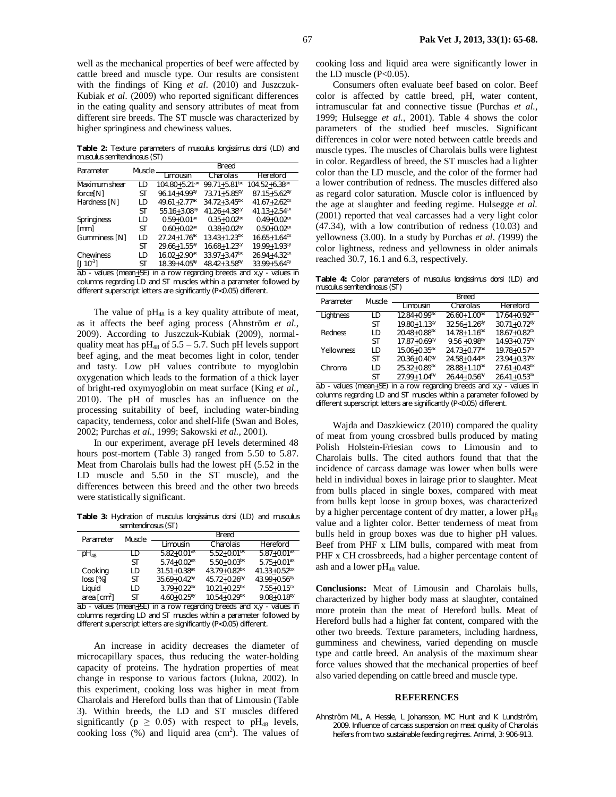well as the mechanical properties of beef were affected by cattle breed and muscle type. Our results are consistent with the findings of King *et al*. (2010) and Juszczuk-Kubiak *et al.* (2009) who reported significant differences in the eating quality and sensory attributes of meat from different sire breeds. The ST muscle was characterized by higher springiness and chewiness values.

**Table 2:** Texture parameters of *musculus longissimus dorsi* (LD) and *musculus semitendinosus* (ST)

| Parameter                                              | Muscle | Breed                         |                              |                                |  |
|--------------------------------------------------------|--------|-------------------------------|------------------------------|--------------------------------|--|
|                                                        |        | Limousin                      | Charolais                    | Hereford                       |  |
| Maximum shear                                          | LD     | $104.80 + 5.21$ <sup>ax</sup> | $99.71 + 5.81$ <sup>bx</sup> | $104.52 + 6.38$ <sup>ax</sup>  |  |
| force <sup>[N]</sup>                                   | ST     | $96.14 + 4.99^{by}$           | $73.71 + 5.85$ <sup>cy</sup> | $87.15 + 5.62$ <sup>dy</sup>   |  |
| Hardness [N]                                           | LD     | 49.61+2.77 <sup>ax</sup>      | $34.72 + 3.45$ <sup>bx</sup> | $41.67 + 2.62$ <sup>cx</sup>   |  |
|                                                        | ST     | $55.16 + 3.08$ <sup>dy</sup>  | $41.26 + 4.38$ <sup>cy</sup> | $41.13 + 2.54$ <sup>cx</sup>   |  |
| Springiness                                            | LD     | $0.59 + 0.01$ <sup>ax</sup>   | $0.35 + 0.02^{bx}$           | $0.49 + 0.02$ <sup>cx</sup>    |  |
| [mm]                                                   | ST     | $0.60 + 0.02$ <sup>ax</sup>   | $0.38 + 0.02^{by}$           | $0.50 + 0.02$ <sup>cx</sup>    |  |
| Gumminess [N]                                          | LD     | $27.24 + 1.76$ <sup>ax</sup>  | $13.43 + 1.23$ <sup>bx</sup> | $16.65 \pm 1.64$ <sup>cx</sup> |  |
|                                                        | ST     | $29.66 + 1.55$ <sup>ay</sup>  | $16.68 + 1.23$ <sup>cy</sup> | $19.99 + 1.93$ cy              |  |
| Chewiness                                              | LD     | $16.02 + 2.90$ <sup>ax</sup>  | $33.97 + 3.47$ <sup>bx</sup> | $26.94 + 4.32$ <sup>cx</sup>   |  |
| $[1 10^{-3}]$                                          | ST     | $18.39 + 4.05$ <sup>ay</sup>  | $48.42 + 3.58$ <sup>by</sup> | $33.99 + 5.64$ <sup>cy</sup>   |  |
| $a,b$ - values (mean+SE) in a row regarding breeds and |        |                               |                              | $x,y - value \sin \theta$      |  |

columns regarding LD and ST muscles within a parameter followed by different superscript letters are significantly (P<0.05) different.

The value of  $pH_{48}$  is a key quality attribute of meat, as it affects the beef aging process (Ahnström *et al.,* 2009). According to Juszczuk-Kubiak (2009), normalquality meat has  $pH_{48}$  of 5.5 – 5.7. Such pH levels support beef aging, and the meat becomes light in color, tender and tasty. Low pH values contribute to myoglobin oxygenation which leads to the formation of a thick layer of bright-red oxymyoglobin on meat surface (King *et al.,* 2010). The pH of muscles has an influence on the processing suitability of beef, including water-binding capacity, tenderness, color and shelf-life (Swan and Boles, 2002; Purchas *et al*., 1999; Sakowski *et al.,* 2001).

In our experiment, average pH levels determined 48 hours post-mortem (Table 3) ranged from 5.50 to 5.87. Meat from Charolais bulls had the lowest pH (5.52 in the LD muscle and 5.50 in the ST muscle), and the differences between this breed and the other two breeds were statistically significant.

**Table 3:** Hydration of *musculus longissimus dorsi* (LD) and *musculus semitendinosus* (ST)

| Parameter                              | Muscle | <b>Breed</b>                 |                              |                             |  |
|----------------------------------------|--------|------------------------------|------------------------------|-----------------------------|--|
|                                        |        | Limousin                     | Charolais                    | Hereford                    |  |
| $pH_{48}$                              | I D    | $5.82 + 0.01$ <sup>ax</sup>  | $5.52 + 0.01bx$              | $5.87 + 0.01$ <sup>ax</sup> |  |
|                                        | ST     | $5.74 + 0.02$ <sup>ax</sup>  | $5.50 + 0.03$ <sup>bx</sup>  | $5.75 + 0.01^{ax}$          |  |
| Cooking                                | LD     | $31.51 + 0.38$ <sup>ax</sup> | $43.79 + 0.82bx$             | $41.33 + 0.52bx$            |  |
| loss [%]                               | ST     | $35.69 + 0.42^{ay}$          | $45.72 + 0.26^{by}$          | $43.99 + 0.56^{by}$         |  |
| Liguid                                 | LD     | $3.79 + 0.22$ <sup>ax</sup>  | $10.21 + 0.25^{bx}$          | $7.55 + 0.15$ <sup>cx</sup> |  |
| area $\lceil$ cm <sup>2</sup> $\rceil$ | ST     | $4.60 + 0.25$ <sup>ay</sup>  | $10.54 + 0.29$ <sup>bx</sup> | $9.08 + 0.18^{by}$          |  |

a,b - values (mean+SE) in a row regarding breeds and  $xy$  - values in columns regarding LD and ST muscles within a parameter followed by different superscript letters are significantly (P<0.05) different.

An increase in acidity decreases the diameter of microcapillary spaces, thus reducing the water-holding capacity of proteins. The hydration properties of meat change in response to various factors (Jukna, 2002). In this experiment, cooking loss was higher in meat from Charolais and Hereford bulls than that of Limousin (Table 3). Within breeds, the LD and ST muscles differed significantly ( $p \ge 0.05$ ) with respect to pH<sub>48</sub> levels, cooking loss  $(\%)$  and liquid area  $(cm^2)$ . The values of cooking loss and liquid area were significantly lower in the LD muscle  $(P<0.05)$ .

Consumers often evaluate beef based on color. Beef color is affected by cattle breed, pH, water content, intramuscular fat and connective tissue (Purchas *et al.,* 1999; Hulsegge *et al.*, 2001). Table 4 shows the color parameters of the studied beef muscles. Significant differences in color were noted between cattle breeds and muscle types. The muscles of Charolais bulls were lightest in color. Regardless of breed, the ST muscles had a lighter color than the LD muscle, and the color of the former had a lower contribution of redness. The muscles differed also as regard color saturation. Muscle color is influenced by the age at slaughter and feeding regime. Hulsegge *et al.* (2001) reported that veal carcasses had a very light color (47.34), with a low contribution of redness (10.03) and yellowness (3.00). In a study by Purchas *et al. (*1999) the color lightness, redness and yellowness in older animals reached 30.7, 16.1 and 6.3, respectively.

**Table 4:** Color parameters of *musculus longissimus dorsi* (LD) and *musculus semitendinosus* (ST)

| Parameter  | Muscle | Breed                                                                |                              |                                                       |
|------------|--------|----------------------------------------------------------------------|------------------------------|-------------------------------------------------------|
|            |        | Limousin                                                             | Charolais                    | Hereford                                              |
| Lightness  | LD     | $12.84 + 0.99$ <sup>ax</sup>                                         | $26.60 + 1.00bx$             | $17.64 + 0.92$ <sup>cx</sup>                          |
|            | ST     | $19.80 + 1.13$ <sup>cy</sup>                                         | $32.56 + 1.26$ <sup>dy</sup> | $30.71 + 0.72$ <sup>dy</sup>                          |
| Redness    | LD     | $20.48 + 0.88$ <sup>ax</sup>                                         | $14.78 + 1.16^{bx}$          | $18.67 + 0.82$ <sup>cx</sup>                          |
|            | SТ     | $17.87 + 0.69$ <sup>cy</sup>                                         | $9.56 + 0.98$ <sup>dy</sup>  | $14.93 + 0.75^{by}$                                   |
| Yellowness | LD     | $15.06 + 0.35$ <sup>ax</sup>                                         | $24.73 + 0.77$ <sup>bx</sup> | $19.78 + 0.57$ <sup>cx</sup>                          |
|            | ST     | $20.36 + 0.40^{\text{dy}}$                                           | $24.58 + 0.44bx$             | $23.94 + 0.37^{by}$                                   |
| Chroma     | LD     | $25.32 + 0.89$ <sup>ax</sup>                                         | $28.88 + 1.10^{b}$           | $27.61 + 0.43^{bx}$                                   |
| . 1.       | SТ     | $27.99 + 1.04^{by}$<br>to a participato providente la providencia di | $26.44 + 0.56$ <sup>ay</sup> | $26.41 + 0.53$ <sup>ax</sup><br>and the continues for |

 $a,b$  - values (mean $+$ SE) in a row regarding breeds and x,y - values in columns regarding LD and ST muscles within a parameter followed by different superscript letters are significantly (P<0.05) different.

Wajda and Daszkiewicz (2010) compared the quality of meat from young crossbred bulls produced by mating Polish Holstein-Friesian cows to Limousin and to Charolais bulls. The cited authors found that that the incidence of carcass damage was lower when bulls were held in individual boxes in lairage prior to slaughter. Meat from bulls placed in single boxes, compared with meat from bulls kept loose in group boxes, was characterized by a higher percentage content of dry matter, a lower  $pH_{48}$ value and a lighter color. Better tenderness of meat from bulls held in group boxes was due to higher pH values. Beef from PHF x LIM bulls, compared with meat from PHF x CH crossbreeds, had a higher percentage content of ash and a lower pH<sub>48</sub> value.

**Conclusions:** Meat of Limousin and Charolais bulls, characterized by higher body mass at slaughter, contained more protein than the meat of Hereford bulls. Meat of Hereford bulls had a higher fat content, compared with the other two breeds. Texture parameters, including hardness, gumminess and chewiness, varied depending on muscle type and cattle breed. An analysis of the maximum shear force values showed that the mechanical properties of beef also varied depending on cattle breed and muscle type.

#### **REFERENCES**

Ahnström ML, A Hessle, L Johansson, MC Hunt and K Lundström, 2009. Influence of carcass suspension on meat quality of Charolais heifers from two sustainable feeding regimes. Animal, 3: 906-913.